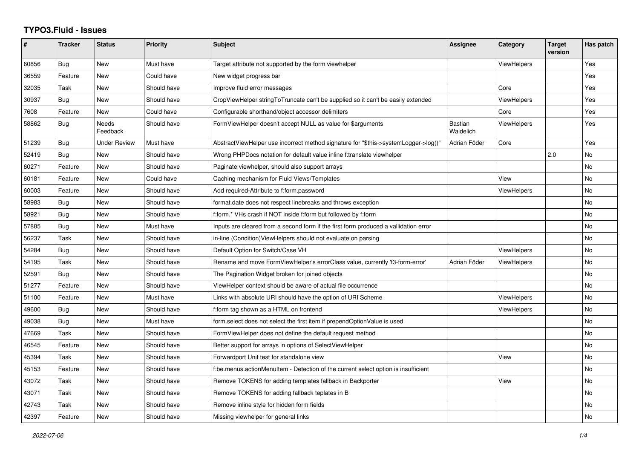## **TYPO3.Fluid - Issues**

| #     | <b>Tracker</b> | <b>Status</b>     | <b>Priority</b> | <b>Subject</b>                                                                       | Assignee             | Category           | <b>Target</b><br>version | Has patch |
|-------|----------------|-------------------|-----------------|--------------------------------------------------------------------------------------|----------------------|--------------------|--------------------------|-----------|
| 60856 | Bug            | New               | Must have       | Target attribute not supported by the form viewhelper                                |                      | <b>ViewHelpers</b> |                          | Yes       |
| 36559 | Feature        | New               | Could have      | New widget progress bar                                                              |                      |                    |                          | Yes       |
| 32035 | Task           | New               | Should have     | Improve fluid error messages                                                         |                      | Core               |                          | Yes       |
| 30937 | Bug            | New               | Should have     | CropViewHelper stringToTruncate can't be supplied so it can't be easily extended     |                      | <b>ViewHelpers</b> |                          | Yes       |
| 7608  | Feature        | New               | Could have      | Configurable shorthand/object accessor delimiters                                    |                      | Core               |                          | Yes       |
| 58862 | <b>Bug</b>     | Needs<br>Feedback | Should have     | FormViewHelper doesn't accept NULL as value for \$arguments                          | Bastian<br>Waidelich | <b>ViewHelpers</b> |                          | Yes       |
| 51239 | Bug            | Under Review      | Must have       | AbstractViewHelper use incorrect method signature for "\$this->systemLogger->log()"  | Adrian Föder         | Core               |                          | Yes       |
| 52419 | <b>Bug</b>     | <b>New</b>        | Should have     | Wrong PHPDocs notation for default value inline f:translate viewhelper               |                      |                    | 2.0                      | <b>No</b> |
| 60271 | Feature        | New               | Should have     | Paginate viewhelper, should also support arrays                                      |                      |                    |                          | <b>No</b> |
| 60181 | Feature        | New               | Could have      | Caching mechanism for Fluid Views/Templates                                          |                      | View               |                          | No        |
| 60003 | Feature        | <b>New</b>        | Should have     | Add required-Attribute to f:form.password                                            |                      | ViewHelpers        |                          | <b>No</b> |
| 58983 | <b>Bug</b>     | <b>New</b>        | Should have     | format.date does not respect linebreaks and throws exception                         |                      |                    |                          | <b>No</b> |
| 58921 | Bug            | New               | Should have     | f:form.* VHs crash if NOT inside f:form but followed by f:form                       |                      |                    |                          | No        |
| 57885 | Bug            | New               | Must have       | Inputs are cleared from a second form if the first form produced a vallidation error |                      |                    |                          | <b>No</b> |
| 56237 | Task           | New               | Should have     | in-line (Condition) View Helpers should not evaluate on parsing                      |                      |                    |                          | No        |
| 54284 | Bug            | New               | Should have     | Default Option for Switch/Case VH                                                    |                      | <b>ViewHelpers</b> |                          | <b>No</b> |
| 54195 | Task           | New               | Should have     | Rename and move FormViewHelper's errorClass value, currently 'f3-form-error'         | Adrian Föder         | <b>ViewHelpers</b> |                          | No        |
| 52591 | Bug            | <b>New</b>        | Should have     | The Pagination Widget broken for joined objects                                      |                      |                    |                          | <b>No</b> |
| 51277 | Feature        | New               | Should have     | ViewHelper context should be aware of actual file occurrence                         |                      |                    |                          | No        |
| 51100 | Feature        | New               | Must have       | Links with absolute URI should have the option of URI Scheme                         |                      | <b>ViewHelpers</b> |                          | <b>No</b> |
| 49600 | <b>Bug</b>     | New               | Should have     | f:form tag shown as a HTML on frontend                                               |                      | <b>ViewHelpers</b> |                          | <b>No</b> |
| 49038 | Bug            | New               | Must have       | form.select does not select the first item if prependOptionValue is used             |                      |                    |                          | <b>No</b> |
| 47669 | Task           | New               | Should have     | FormViewHelper does not define the default request method                            |                      |                    |                          | No        |
| 46545 | Feature        | New               | Should have     | Better support for arrays in options of SelectViewHelper                             |                      |                    |                          | <b>No</b> |
| 45394 | Task           | New               | Should have     | Forwardport Unit test for standalone view                                            |                      | View               |                          | No        |
| 45153 | Feature        | <b>New</b>        | Should have     | f:be.menus.actionMenuItem - Detection of the current select option is insufficient   |                      |                    |                          | <b>No</b> |
| 43072 | Task           | <b>New</b>        | Should have     | Remove TOKENS for adding templates fallback in Backporter                            |                      | View               |                          | No        |
| 43071 | Task           | New               | Should have     | Remove TOKENS for adding fallback teplates in B                                      |                      |                    |                          | <b>No</b> |
| 42743 | Task           | New               | Should have     | Remove inline style for hidden form fields                                           |                      |                    |                          | No        |
| 42397 | Feature        | <b>New</b>        | Should have     | Missing viewhelper for general links                                                 |                      |                    |                          | No        |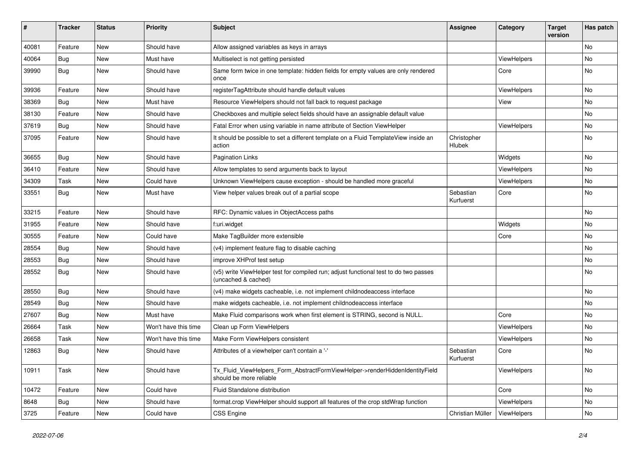| ∦     | <b>Tracker</b> | <b>Status</b> | <b>Priority</b>      | <b>Subject</b>                                                                                              | <b>Assignee</b>        | Category    | <b>Target</b><br>version | Has patch     |
|-------|----------------|---------------|----------------------|-------------------------------------------------------------------------------------------------------------|------------------------|-------------|--------------------------|---------------|
| 40081 | Feature        | New           | Should have          | Allow assigned variables as keys in arrays                                                                  |                        |             |                          | No            |
| 40064 | Bug            | New           | Must have            | Multiselect is not getting persisted                                                                        |                        | ViewHelpers |                          | No.           |
| 39990 | <b>Bug</b>     | New           | Should have          | Same form twice in one template: hidden fields for empty values are only rendered<br>once                   |                        | Core        |                          | No            |
| 39936 | Feature        | New           | Should have          | registerTagAttribute should handle default values                                                           |                        | ViewHelpers |                          | No            |
| 38369 | Bug            | <b>New</b>    | Must have            | Resource ViewHelpers should not fall back to request package                                                |                        | View        |                          | No.           |
| 38130 | Feature        | New           | Should have          | Checkboxes and multiple select fields should have an assignable default value                               |                        |             |                          | No            |
| 37619 | <b>Bug</b>     | New           | Should have          | Fatal Error when using variable in name attribute of Section ViewHelper                                     |                        | ViewHelpers |                          | No            |
| 37095 | Feature        | New           | Should have          | It should be possible to set a different template on a Fluid TemplateView inside an<br>action               | Christopher<br>Hlubek  |             |                          | No            |
| 36655 | <b>Bug</b>     | New           | Should have          | <b>Pagination Links</b>                                                                                     |                        | Widgets     |                          | No.           |
| 36410 | Feature        | New           | Should have          | Allow templates to send arguments back to layout                                                            |                        | ViewHelpers |                          | No.           |
| 34309 | Task           | New           | Could have           | Unknown ViewHelpers cause exception - should be handled more graceful                                       |                        | ViewHelpers |                          | No            |
| 33551 | Bug            | <b>New</b>    | Must have            | View helper values break out of a partial scope                                                             | Sebastian<br>Kurfuerst | Core        |                          | No            |
| 33215 | Feature        | New           | Should have          | RFC: Dynamic values in ObjectAccess paths                                                                   |                        |             |                          | No            |
| 31955 | Feature        | New           | Should have          | f:uri.widget                                                                                                |                        | Widgets     |                          | No            |
| 30555 | Feature        | New           | Could have           | Make TagBuilder more extensible                                                                             |                        | Core        |                          | No.           |
| 28554 | Bug            | New           | Should have          | (v4) implement feature flag to disable caching                                                              |                        |             |                          | No.           |
| 28553 | Bug            | New           | Should have          | improve XHProf test setup                                                                                   |                        |             |                          | No            |
| 28552 | <b>Bug</b>     | New           | Should have          | (v5) write ViewHelper test for compiled run; adjust functional test to do two passes<br>(uncached & cached) |                        |             |                          | No            |
| 28550 | Bug            | New           | Should have          | (v4) make widgets cacheable, i.e. not implement childnodeaccess interface                                   |                        |             |                          | No            |
| 28549 | Bug            | New           | Should have          | make widgets cacheable, i.e. not implement childnodeaccess interface                                        |                        |             |                          | No            |
| 27607 | Bug            | New           | Must have            | Make Fluid comparisons work when first element is STRING, second is NULL.                                   |                        | Core        |                          | No            |
| 26664 | Task           | New           | Won't have this time | Clean up Form ViewHelpers                                                                                   |                        | ViewHelpers |                          | No            |
| 26658 | Task           | New           | Won't have this time | Make Form ViewHelpers consistent                                                                            |                        | ViewHelpers |                          | No            |
| 12863 | Bug            | New           | Should have          | Attributes of a viewhelper can't contain a '-'                                                              | Sebastian<br>Kurfuerst | Core        |                          | No            |
| 10911 | Task           | New           | Should have          | Tx_Fluid_ViewHelpers_Form_AbstractFormViewHelper->renderHiddenIdentityField<br>should be more reliable      |                        | ViewHelpers |                          | $\mathsf{No}$ |
| 10472 | Feature        | New           | Could have           | Fluid Standalone distribution                                                                               |                        | Core        |                          | No            |
| 8648  | <b>Bug</b>     | New           | Should have          | format.crop ViewHelper should support all features of the crop stdWrap function                             |                        | ViewHelpers |                          | No            |
| 3725  | Feature        | New           | Could have           | <b>CSS Engine</b>                                                                                           | Christian Müller       | ViewHelpers |                          | No            |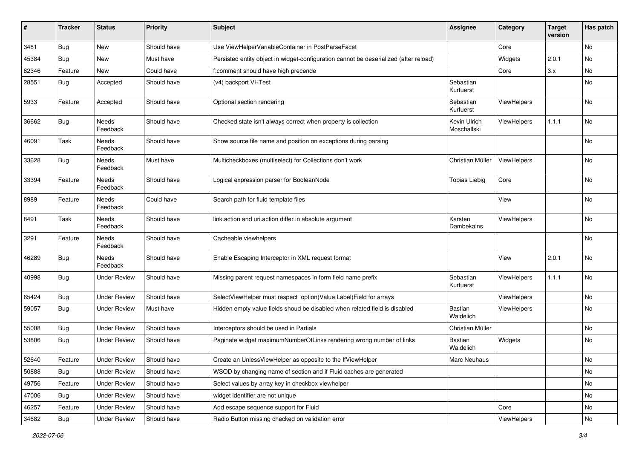| #     | <b>Tracker</b> | <b>Status</b>            | <b>Priority</b> | Subject                                                                               | <b>Assignee</b>             | Category    | <b>Target</b><br>version | Has patch |
|-------|----------------|--------------------------|-----------------|---------------------------------------------------------------------------------------|-----------------------------|-------------|--------------------------|-----------|
| 3481  | Bug            | New                      | Should have     | Use ViewHelperVariableContainer in PostParseFacet                                     |                             | Core        |                          | No        |
| 45384 | Bug            | New                      | Must have       | Persisted entity object in widget-configuration cannot be deserialized (after reload) |                             | Widgets     | 2.0.1                    | No        |
| 62346 | Feature        | New                      | Could have      | f:comment should have high precende                                                   |                             | Core        | 3.x                      | No        |
| 28551 | Bug            | Accepted                 | Should have     | (v4) backport VHTest                                                                  | Sebastian<br>Kurfuerst      |             |                          | No        |
| 5933  | Feature        | Accepted                 | Should have     | Optional section rendering                                                            | Sebastian<br>Kurfuerst      | ViewHelpers |                          | No        |
| 36662 | Bug            | Needs<br>Feedback        | Should have     | Checked state isn't always correct when property is collection                        | Kevin Ulrich<br>Moschallski | ViewHelpers | 1.1.1                    | No        |
| 46091 | Task           | Needs<br>Feedback        | Should have     | Show source file name and position on exceptions during parsing                       |                             |             |                          | No        |
| 33628 | <b>Bug</b>     | Needs<br>Feedback        | Must have       | Multicheckboxes (multiselect) for Collections don't work                              | Christian Müller            | ViewHelpers |                          | No        |
| 33394 | Feature        | Needs<br>Feedback        | Should have     | Logical expression parser for BooleanNode                                             | <b>Tobias Liebig</b>        | Core        |                          | No        |
| 8989  | Feature        | Needs<br>Feedback        | Could have      | Search path for fluid template files                                                  |                             | View        |                          | No        |
| 8491  | Task           | Needs<br>Feedback        | Should have     | link.action and uri.action differ in absolute argument                                | Karsten<br>Dambekalns       | ViewHelpers |                          | No        |
| 3291  | Feature        | <b>Needs</b><br>Feedback | Should have     | Cacheable viewhelpers                                                                 |                             |             |                          | No        |
| 46289 | Bug            | Needs<br>Feedback        | Should have     | Enable Escaping Interceptor in XML request format                                     |                             | View        | 2.0.1                    | No        |
| 40998 | Bug            | <b>Under Review</b>      | Should have     | Missing parent request namespaces in form field name prefix                           | Sebastian<br>Kurfuerst      | ViewHelpers | 1.1.1                    | No        |
| 65424 | Bug            | <b>Under Review</b>      | Should have     | SelectViewHelper must respect option(Value Label)Field for arrays                     |                             | ViewHelpers |                          | No        |
| 59057 | Bug            | <b>Under Review</b>      | Must have       | Hidden empty value fields shoud be disabled when related field is disabled            | <b>Bastian</b><br>Waidelich | ViewHelpers |                          | No        |
| 55008 | Bug            | <b>Under Review</b>      | Should have     | Interceptors should be used in Partials                                               | Christian Müller            |             |                          | No        |
| 53806 | Bug            | <b>Under Review</b>      | Should have     | Paginate widget maximumNumberOfLinks rendering wrong number of links                  | Bastian<br>Waidelich        | Widgets     |                          | No        |
| 52640 | Feature        | <b>Under Review</b>      | Should have     | Create an UnlessViewHelper as opposite to the IfViewHelper                            | Marc Neuhaus                |             |                          | No        |
| 50888 | <b>Bug</b>     | <b>Under Review</b>      | Should have     | WSOD by changing name of section and if Fluid caches are generated                    |                             |             |                          | No        |
| 49756 | Feature        | <b>Under Review</b>      | Should have     | Select values by array key in checkbox viewhelper                                     |                             |             |                          | No        |
| 47006 | Bug            | <b>Under Review</b>      | Should have     | widget identifier are not unique                                                      |                             |             |                          | No        |
| 46257 | Feature        | <b>Under Review</b>      | Should have     | Add escape sequence support for Fluid                                                 |                             | Core        |                          | No        |
| 34682 | Bug            | <b>Under Review</b>      | Should have     | Radio Button missing checked on validation error                                      |                             | ViewHelpers |                          | No        |